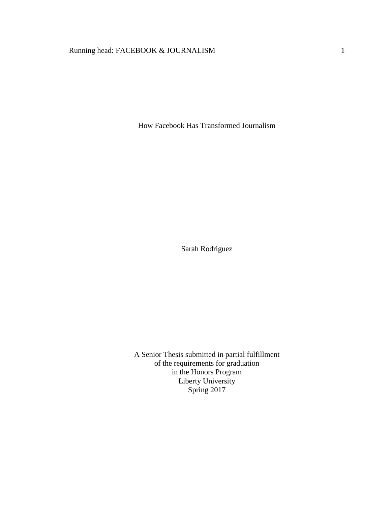# Running head: FACEBOOK & JOURNALISM 1

How Facebook Has Transformed Journalism

Sarah Rodriguez

A Senior Thesis submitted in partial fulfillment of the requirements for graduation in the Honors Program Liberty University Spring 2017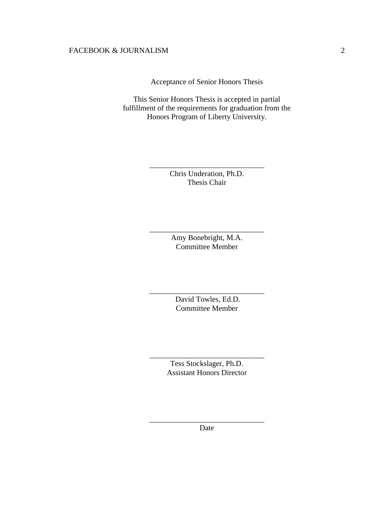Acceptance of Senior Honors Thesis

This Senior Honors Thesis is accepted in partial fulfillment of the requirements for graduation from the Honors Program of Liberty University.

> Chris Underation, Ph.D. Thesis Chair

\_\_\_\_\_\_\_\_\_\_\_\_\_\_\_\_\_\_\_\_\_\_\_\_\_\_\_\_\_\_

Amy Bonebright, M.A. Committee Member

\_\_\_\_\_\_\_\_\_\_\_\_\_\_\_\_\_\_\_\_\_\_\_\_\_\_\_\_\_\_

David Towles, Ed.D. Committee Member

\_\_\_\_\_\_\_\_\_\_\_\_\_\_\_\_\_\_\_\_\_\_\_\_\_\_\_\_\_\_

Tess Stockslager, Ph.D. Assistant Honors Director

\_\_\_\_\_\_\_\_\_\_\_\_\_\_\_\_\_\_\_\_\_\_\_\_\_\_\_\_\_\_

\_\_\_\_\_\_\_\_\_\_\_\_\_\_\_\_\_\_\_\_\_\_\_\_\_\_\_\_\_\_ Date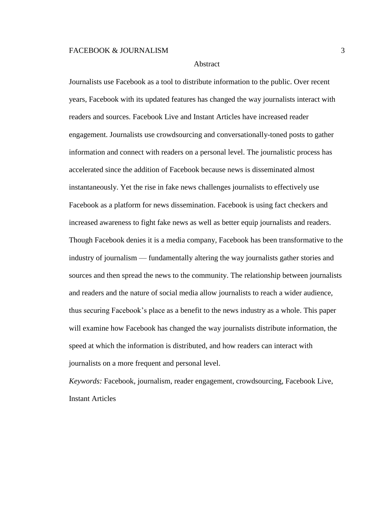#### Abstract

Journalists use Facebook as a tool to distribute information to the public. Over recent years, Facebook with its updated features has changed the way journalists interact with readers and sources. Facebook Live and Instant Articles have increased reader engagement. Journalists use crowdsourcing and conversationally-toned posts to gather information and connect with readers on a personal level. The journalistic process has accelerated since the addition of Facebook because news is disseminated almost instantaneously. Yet the rise in fake news challenges journalists to effectively use Facebook as a platform for news dissemination. Facebook is using fact checkers and increased awareness to fight fake news as well as better equip journalists and readers. Though Facebook denies it is a media company, Facebook has been transformative to the industry of journalism — fundamentally altering the way journalists gather stories and sources and then spread the news to the community. The relationship between journalists and readers and the nature of social media allow journalists to reach a wider audience, thus securing Facebook's place as a benefit to the news industry as a whole. This paper will examine how Facebook has changed the way journalists distribute information, the speed at which the information is distributed, and how readers can interact with journalists on a more frequent and personal level.

*Keywords:* Facebook, journalism, reader engagement, crowdsourcing, Facebook Live, Instant Articles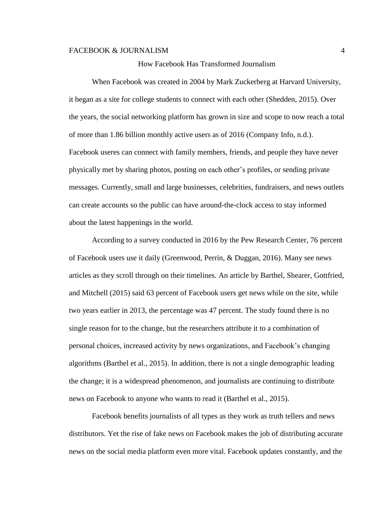#### How Facebook Has Transformed Journalism

When Facebook was created in 2004 by Mark Zuckerberg at Harvard University, it began as a site for college students to connect with each other (Shedden, 2015). Over the years, the social networking platform has grown in size and scope to now reach a total of more than 1.86 billion monthly active users as of 2016 (Company Info, n.d.). Facebook useres can connect with family members, friends, and people they have never physically met by sharing photos, posting on each other's profiles, or sending private messages. Currently, small and large businesses, celebrities, fundraisers, and news outlets can create accounts so the public can have around-the-clock access to stay informed about the latest happenings in the world.

According to a survey conducted in 2016 by the Pew Research Center, 76 percent of Facebook users use it daily (Greenwood, Perrin, & Duggan, 2016). Many see news articles as they scroll through on their timelines. An article by Barthel, Shearer, Gottfried, and Mitchell (2015) said 63 percent of Facebook users get news while on the site, while two years earlier in 2013, the percentage was 47 percent. The study found there is no single reason for to the change, but the researchers attribute it to a combination of personal choices, increased activity by news organizations, and Facebook's changing algorithms (Barthel et al., 2015). In addition, there is not a single demographic leading the change; it is a widespread phenomenon, and journalists are continuing to distribute news on Facebook to anyone who wants to read it (Barthel et al., 2015).

Facebook benefits journalists of all types as they work as truth tellers and news distributors. Yet the rise of fake news on Facebook makes the job of distributing accurate news on the social media platform even more vital. Facebook updates constantly, and the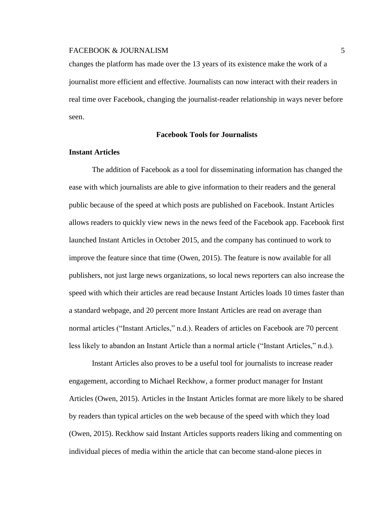changes the platform has made over the 13 years of its existence make the work of a journalist more efficient and effective. Journalists can now interact with their readers in real time over Facebook, changing the journalist-reader relationship in ways never before seen.

### **Facebook Tools for Journalists**

### **Instant Articles**

The addition of Facebook as a tool for disseminating information has changed the ease with which journalists are able to give information to their readers and the general public because of the speed at which posts are published on Facebook. Instant Articles allows readers to quickly view news in the news feed of the Facebook app. Facebook first launched Instant Articles in October 2015, and the company has continued to work to improve the feature since that time (Owen, 2015). The feature is now available for all publishers, not just large news organizations, so local news reporters can also increase the speed with which their articles are read because Instant Articles loads 10 times faster than a standard webpage, and 20 percent more Instant Articles are read on average than normal articles ("Instant Articles," n.d.). Readers of articles on Facebook are 70 percent less likely to abandon an Instant Article than a normal article ("Instant Articles," n.d.).

Instant Articles also proves to be a useful tool for journalists to increase reader engagement, according to Michael Reckhow, a former product manager for Instant Articles (Owen, 2015). Articles in the Instant Articles format are more likely to be shared by readers than typical articles on the web because of the speed with which they load (Owen, 2015). Reckhow said Instant Articles supports readers liking and commenting on individual pieces of media within the article that can become stand-alone pieces in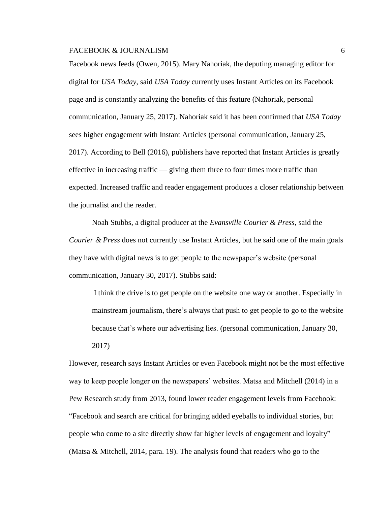Facebook news feeds (Owen, 2015). Mary Nahoriak, the deputing managing editor for digital for *USA Today*, said *USA Today* currently uses Instant Articles on its Facebook page and is constantly analyzing the benefits of this feature (Nahoriak, personal communication, January 25, 2017). Nahoriak said it has been confirmed that *USA Today* sees higher engagement with Instant Articles (personal communication, January 25, 2017). According to Bell (2016), publishers have reported that Instant Articles is greatly effective in increasing traffic — giving them three to four times more traffic than expected. Increased traffic and reader engagement produces a closer relationship between the journalist and the reader.

Noah Stubbs, a digital producer at the *Evansville Courier & Press*, said the *Courier & Press* does not currently use Instant Articles, but he said one of the main goals they have with digital news is to get people to the newspaper's website (personal communication, January 30, 2017). Stubbs said:

I think the drive is to get people on the website one way or another. Especially in mainstream journalism, there's always that push to get people to go to the website because that's where our advertising lies. (personal communication, January 30,

2017)

However, research says Instant Articles or even Facebook might not be the most effective way to keep people longer on the newspapers' websites. Matsa and Mitchell (2014) in a Pew Research study from 2013, found lower reader engagement levels from Facebook: "Facebook and search are critical for bringing added eyeballs to individual stories, but people who come to a site directly show far higher levels of engagement and loyalty" (Matsa & Mitchell, 2014, para. 19). The analysis found that readers who go to the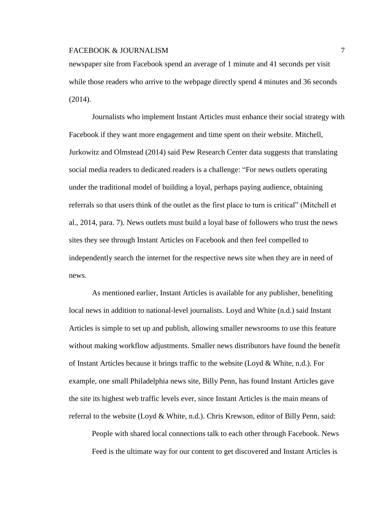newspaper site from Facebook spend an average of 1 minute and 41 seconds per visit while those readers who arrive to the webpage directly spend 4 minutes and 36 seconds (2014).

Journalists who implement Instant Articles must enhance their social strategy with Facebook if they want more engagement and time spent on their website. Mitchell, Jurkowitz and Olmstead (2014) said Pew Research Center data suggests that translating social media readers to dedicated readers is a challenge: "For news outlets operating under the traditional model of building a loyal, perhaps paying audience, obtaining referrals so that users think of the outlet as the first place to turn is critical" (Mitchell et al., 2014, para. 7). News outlets must build a loyal base of followers who trust the news sites they see through Instant Articles on Facebook and then feel compelled to independently search the internet for the respective news site when they are in need of news.

As mentioned earlier, Instant Articles is available for any publisher, benefiting local news in addition to national-level journalists. Loyd and White (n.d.) said Instant Articles is simple to set up and publish, allowing smaller newsrooms to use this feature without making workflow adjustments. Smaller news distributors have found the benefit of Instant Articles because it brings traffic to the website (Loyd & White, n.d.). For example, one small Philadelphia news site, Billy Penn, has found Instant Articles gave the site its highest web traffic levels ever, since Instant Articles is the main means of referral to the website (Loyd & White, n.d.). Chris Krewson, editor of Billy Penn, said:

People with shared local connections talk to each other through Facebook. News Feed is the ultimate way for our content to get discovered and Instant Articles is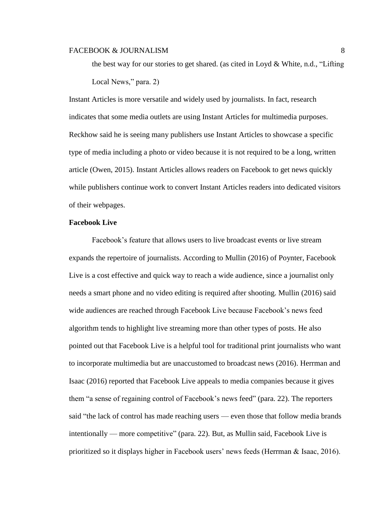the best way for our stories to get shared. (as cited in Loyd & White, n.d., "Lifting Local News," para. 2)

Instant Articles is more versatile and widely used by journalists. In fact, research indicates that some media outlets are using Instant Articles for multimedia purposes. Reckhow said he is seeing many publishers use Instant Articles to showcase a specific type of media including a photo or video because it is not required to be a long, written article (Owen, 2015). Instant Articles allows readers on Facebook to get news quickly while publishers continue work to convert Instant Articles readers into dedicated visitors of their webpages.

# **Facebook Live**

Facebook's feature that allows users to live broadcast events or live stream expands the repertoire of journalists. According to Mullin (2016) of Poynter, Facebook Live is a cost effective and quick way to reach a wide audience, since a journalist only needs a smart phone and no video editing is required after shooting. Mullin (2016) said wide audiences are reached through Facebook Live because Facebook's news feed algorithm tends to highlight live streaming more than other types of posts. He also pointed out that Facebook Live is a helpful tool for traditional print journalists who want to incorporate multimedia but are unaccustomed to broadcast news (2016). Herrman and Isaac (2016) reported that Facebook Live appeals to media companies because it gives them "a sense of regaining control of Facebook's news feed" (para. 22). The reporters said "the lack of control has made reaching users — even those that follow media brands intentionally — more competitive" (para. 22). But, as Mullin said, Facebook Live is prioritized so it displays higher in Facebook users' news feeds (Herrman & Isaac, 2016).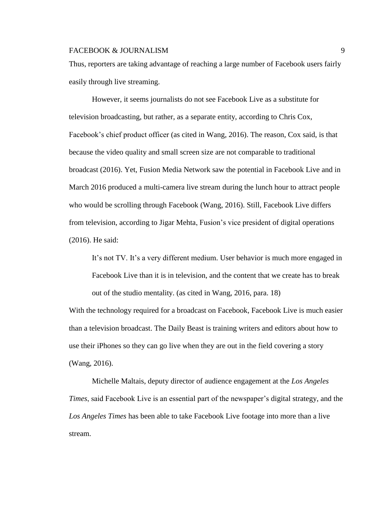Thus, reporters are taking advantage of reaching a large number of Facebook users fairly easily through live streaming.

However, it seems journalists do not see Facebook Live as a substitute for television broadcasting, but rather, as a separate entity, according to Chris Cox, Facebook's chief product officer (as cited in Wang, 2016). The reason, Cox said, is that because the video quality and small screen size are not comparable to traditional broadcast (2016). Yet, Fusion Media Network saw the potential in Facebook Live and in March 2016 produced a multi-camera live stream during the lunch hour to attract people who would be scrolling through Facebook (Wang, 2016). Still, Facebook Live differs from television, according to [Jigar Mehta,](https://twitter.com/jigarmehta) Fusion's vice president of digital operations (2016). He said:

It's not TV. It's a very different medium. User behavior is much more engaged in Facebook Live than it is in television, and the content that we create has to break out of the studio mentality. (as cited in Wang, 2016, para. 18)

With the technology required for a broadcast on Facebook, Facebook Live is much easier than a television broadcast. The Daily Beast is training writers and editors about how to use their iPhones so they can go live when they are out in the field covering a story (Wang, 2016).

Michelle Maltais, deputy director of audience engagement at the *Los Angeles Times*, said Facebook Live is an essential part of the newspaper's digital strategy, and the *Los Angeles Times* has been able to take Facebook Live footage into more than a live stream.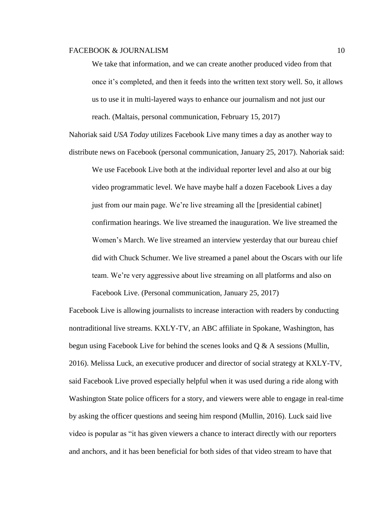We take that information, and we can create another produced video from that once it's completed, and then it feeds into the written text story well. So, it allows us to use it in multi-layered ways to enhance our journalism and not just our reach. (Maltais, personal communication, February 15, 2017)

Nahoriak said *USA Today* utilizes Facebook Live many times a day as another way to distribute news on Facebook (personal communication, January 25, 2017). Nahoriak said:

We use Facebook Live both at the individual reporter level and also at our big video programmatic level. We have maybe half a dozen Facebook Lives a day just from our main page. We're live streaming all the [presidential cabinet] confirmation hearings. We live streamed the inauguration. We live streamed the Women's March. We live streamed an interview yesterday that our bureau chief did with Chuck Schumer. We live streamed a panel about the Oscars with our life team. We're very aggressive about live streaming on all platforms and also on Facebook Live. (Personal communication, January 25, 2017)

Facebook Live is allowing journalists to increase interaction with readers by conducting nontraditional live streams. KXLY-TV, an ABC affiliate in Spokane, Washington, has begun using Facebook Live for behind the scenes looks and  $Q \& A$  sessions (Mullin, 2016). Melissa Luck, an executive producer and director of social strategy at KXLY-TV, said Facebook Live proved especially helpful when it was used during a ride along with Washington State police officers for a story, and viewers were able to engage in real-time by asking the officer questions and seeing him respond (Mullin, 2016). Luck said live video is popular as "it has given viewers a chance to interact directly with our reporters and anchors, and it has been beneficial for both sides of that video stream to have that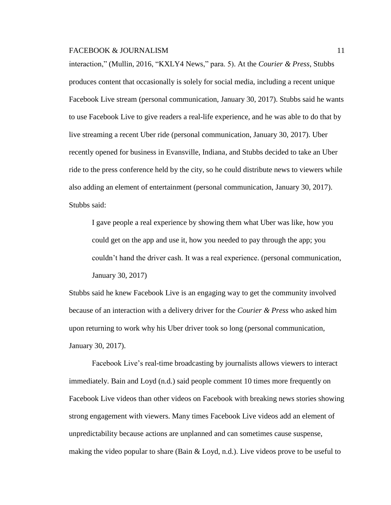interaction," (Mullin, 2016, "KXLY4 News," para. 5). At the *Courier & Press*, Stubbs produces content that occasionally is solely for social media, including a recent unique Facebook Live stream (personal communication, January 30, 2017). Stubbs said he wants to use Facebook Live to give readers a real-life experience, and he was able to do that by live streaming a recent Uber ride (personal communication, January 30, 2017). Uber recently opened for business in Evansville, Indiana, and Stubbs decided to take an Uber ride to the press conference held by the city, so he could distribute news to viewers while also adding an element of entertainment (personal communication, January 30, 2017). Stubbs said:

I gave people a real experience by showing them what Uber was like, how you could get on the app and use it, how you needed to pay through the app; you couldn't hand the driver cash. It was a real experience. (personal communication, January 30, 2017)

Stubbs said he knew Facebook Live is an engaging way to get the community involved because of an interaction with a delivery driver for the *Courier & Press* who asked him upon returning to work why his Uber driver took so long (personal communication, January 30, 2017).

Facebook Live's real-time broadcasting by journalists allows viewers to interact immediately. Bain and Loyd (n.d.) said people comment 10 times more frequently on Facebook Live videos than other videos on Facebook with breaking news stories showing strong engagement with viewers. Many times Facebook Live videos add an element of unpredictability because actions are unplanned and can sometimes cause suspense, making the video popular to share (Bain  $\&$  Loyd, n.d.). Live videos prove to be useful to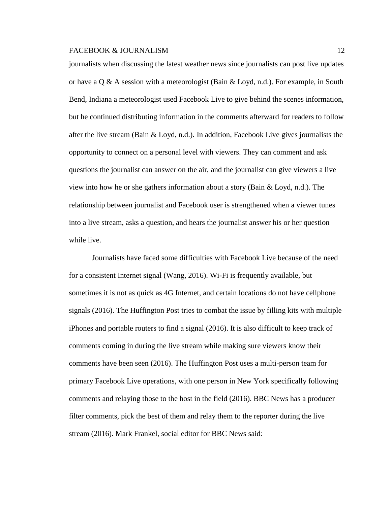journalists when discussing the latest weather news since journalists can post live updates or have a Q & A session with a meteorologist (Bain & Loyd, n.d.). For example, in South Bend, Indiana a meteorologist used Facebook Live to give behind the scenes information, but he continued distributing information in the comments afterward for readers to follow after the live stream (Bain & Loyd, n.d.). In addition, Facebook Live gives journalists the opportunity to connect on a personal level with viewers. They can comment and ask questions the journalist can answer on the air, and the journalist can give viewers a live view into how he or she gathers information about a story (Bain & Loyd, n.d.). The relationship between journalist and Facebook user is strengthened when a viewer tunes into a live stream, asks a question, and hears the journalist answer his or her question while live.

Journalists have faced some difficulties with Facebook Live because of the need for a consistent Internet signal (Wang, 2016). Wi-Fi is frequently available, but sometimes it is not as quick as 4G Internet, and certain locations do not have cellphone signals (2016). The Huffington Post tries to combat the issue by filling kits with multiple iPhones and portable routers to find a signal (2016). It is also difficult to keep track of comments coming in during the live stream while making sure viewers know their comments have been seen (2016). The Huffington Post uses a multi-person team for primary Facebook Live operations, with one person in New York specifically following comments and relaying those to the host in the field (2016). BBC News has a producer filter comments, pick the best of them and relay them to the reporter during the live stream (2016). Mark Frankel, social editor for BBC News said: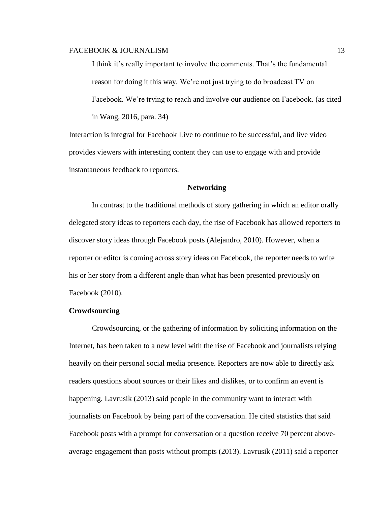I think it's really important to involve the comments. That's the fundamental reason for doing it this way. We're not just trying to do broadcast TV on Facebook. We're trying to reach and involve our audience on Facebook. (as cited in Wang, 2016, para. 34)

Interaction is integral for Facebook Live to continue to be successful, and live video provides viewers with interesting content they can use to engage with and provide instantaneous feedback to reporters.

### **Networking**

In contrast to the traditional methods of story gathering in which an editor orally delegated story ideas to reporters each day, the rise of Facebook has allowed reporters to discover story ideas through Facebook posts (Alejandro, 2010). However, when a reporter or editor is coming across story ideas on Facebook, the reporter needs to write his or her story from a different angle than what has been presented previously on Facebook (2010).

### **Crowdsourcing**

Crowdsourcing, or the gathering of information by soliciting information on the Internet, has been taken to a new level with the rise of Facebook and journalists relying heavily on their personal social media presence. Reporters are now able to directly ask readers questions about sources or their likes and dislikes, or to confirm an event is happening. Lavrusik (2013) said people in the community want to interact with journalists on Facebook by being part of the conversation. He cited statistics that said Facebook posts with a prompt for conversation or a question receive 70 percent aboveaverage engagement than posts without prompts (2013). Lavrusik (2011) said a reporter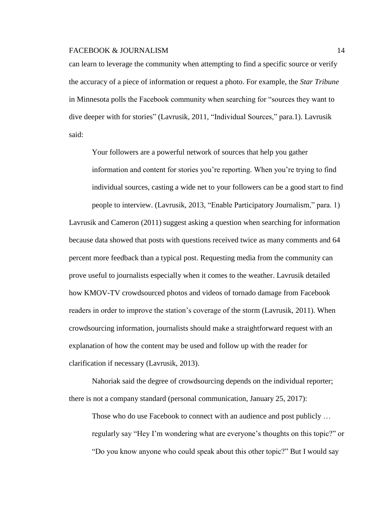can learn to leverage the community when attempting to find a specific source or verify the accuracy of a piece of information or request a photo. For example, the *Star Tribune* in Minnesota polls the Facebook community when searching for "sources they want to dive deeper with for stories" (Lavrusik, 2011, "Individual Sources," para.1). Lavrusik said:

Your followers are a powerful network of sources that help you gather information and content for stories you're reporting. When you're trying to find individual sources, casting a wide net to your followers can be a good start to find people to interview. (Lavrusik, 2013, "Enable Participatory Journalism," para. 1) Lavrusik and Cameron (2011) suggest asking a question when searching for information because data showed that posts with questions received twice as many comments and 64 percent more feedback than a typical post. Requesting media from the community can prove useful to journalists especially when it comes to the weather. Lavrusik detailed how KMOV-TV crowdsourced photos and videos of tornado damage from Facebook readers in order to improve the station's coverage of the storm (Lavrusik, 2011). When crowdsourcing information, journalists should make a straightforward request with an explanation of how the content may be used and follow up with the reader for clarification if necessary (Lavrusik, 2013).

Nahoriak said the degree of crowdsourcing depends on the individual reporter; there is not a company standard (personal communication, January 25, 2017):

Those who do use Facebook to connect with an audience and post publicly … regularly say "Hey I'm wondering what are everyone's thoughts on this topic?" or "Do you know anyone who could speak about this other topic?" But I would say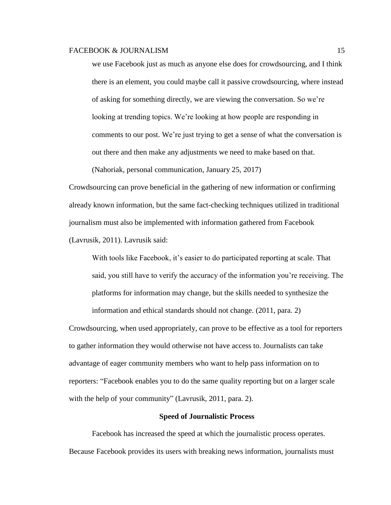we use Facebook just as much as anyone else does for crowdsourcing, and I think there is an element, you could maybe call it passive crowdsourcing, where instead of asking for something directly, we are viewing the conversation. So we're looking at trending topics. We're looking at how people are responding in comments to our post. We're just trying to get a sense of what the conversation is out there and then make any adjustments we need to make based on that.

(Nahoriak, personal communication, January 25, 2017)

Crowdsourcing can prove beneficial in the gathering of new information or confirming already known information, but the same fact-checking techniques utilized in traditional journalism must also be implemented with information gathered from Facebook (Lavrusik, 2011). Lavrusik said:

With tools like Facebook, it's easier to do participated reporting at scale. That said, you still have to verify the accuracy of the information you're receiving. The platforms for information may change, but the skills needed to synthesize the information and ethical standards should not change. (2011, para. 2)

Crowdsourcing, when used appropriately, can prove to be effective as a tool for reporters to gather information they would otherwise not have access to. Journalists can take advantage of eager community members who want to help pass information on to reporters: "Facebook enables you to do the same quality reporting but on a larger scale with the help of your community" (Lavrusik, 2011, para. 2).

### **Speed of Journalistic Process**

Facebook has increased the speed at which the journalistic process operates. Because Facebook provides its users with breaking news information, journalists must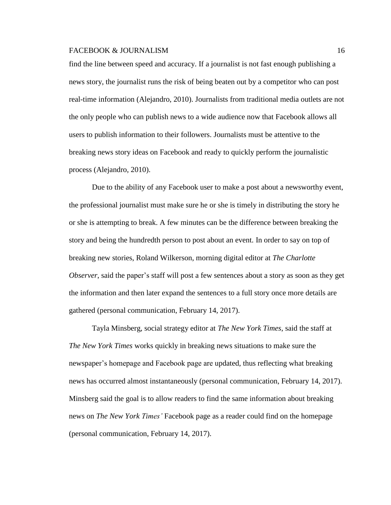find the line between speed and accuracy. If a journalist is not fast enough publishing a news story, the journalist runs the risk of being beaten out by a competitor who can post real-time information (Alejandro, 2010). Journalists from traditional media outlets are not the only people who can publish news to a wide audience now that Facebook allows all users to publish information to their followers. Journalists must be attentive to the breaking news story ideas on Facebook and ready to quickly perform the journalistic process (Alejandro, 2010).

Due to the ability of any Facebook user to make a post about a newsworthy event, the professional journalist must make sure he or she is timely in distributing the story he or she is attempting to break. A few minutes can be the difference between breaking the story and being the hundredth person to post about an event. In order to say on top of breaking new stories, Roland Wilkerson, morning digital editor at *The Charlotte Observer*, said the paper's staff will post a few sentences about a story as soon as they get the information and then later expand the sentences to a full story once more details are gathered (personal communication, February 14, 2017).

Tayla Minsberg, social strategy editor at *The New York Times*, said the staff at *The New York Times* works quickly in breaking news situations to make sure the newspaper's homepage and Facebook page are updated, thus reflecting what breaking news has occurred almost instantaneously (personal communication, February 14, 2017). Minsberg said the goal is to allow readers to find the same information about breaking news on *The New York Times'* Facebook page as a reader could find on the homepage (personal communication, February 14, 2017).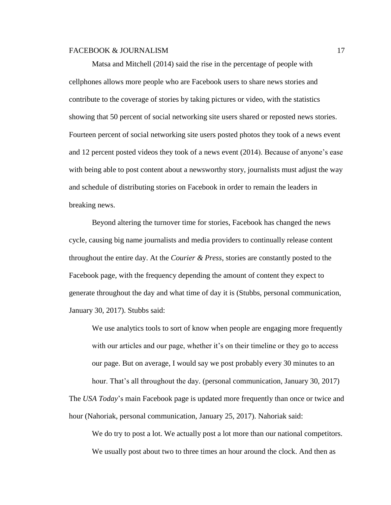Matsa and Mitchell (2014) said the rise in the percentage of people with cellphones allows more people who are Facebook users to share news stories and contribute to the coverage of stories by taking pictures or video, with the statistics showing that 50 percent of social networking site users shared or reposted news stories. Fourteen percent of social networking site users posted photos they took of a news event and 12 percent posted videos they took of a news event (2014). Because of anyone's ease with being able to post content about a newsworthy story, journalists must adjust the way and schedule of distributing stories on Facebook in order to remain the leaders in breaking news.

Beyond altering the turnover time for stories, Facebook has changed the news cycle, causing big name journalists and media providers to continually release content throughout the entire day. At the *Courier & Press*, stories are constantly posted to the Facebook page, with the frequency depending the amount of content they expect to generate throughout the day and what time of day it is (Stubbs, personal communication, January 30, 2017). Stubbs said:

We use analytics tools to sort of know when people are engaging more frequently with our articles and our page, whether it's on their timeline or they go to access our page. But on average, I would say we post probably every 30 minutes to an hour. That's all throughout the day. (personal communication, January 30, 2017)

The *USA Today*'s main Facebook page is updated more frequently than once or twice and hour (Nahoriak, personal communication, January 25, 2017). Nahoriak said:

We do try to post a lot. We actually post a lot more than our national competitors. We usually post about two to three times an hour around the clock. And then as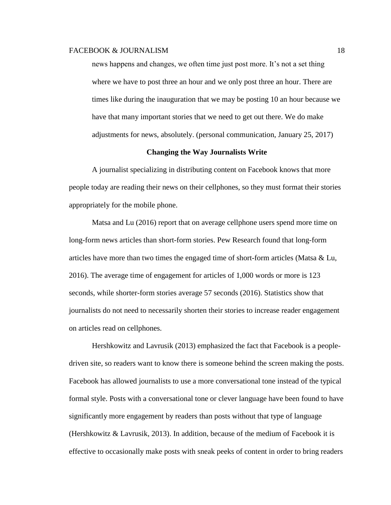news happens and changes, we often time just post more. It's not a set thing where we have to post three an hour and we only post three an hour. There are times like during the inauguration that we may be posting 10 an hour because we have that many important stories that we need to get out there. We do make adjustments for news, absolutely. (personal communication, January 25, 2017)

### **Changing the Way Journalists Write**

A journalist specializing in distributing content on Facebook knows that more people today are reading their news on their cellphones, so they must format their stories appropriately for the mobile phone.

Matsa and Lu (2016) report that on average cellphone users spend more time on long-form news articles than short-form stories. Pew Research found that long-form articles have more than two times the engaged time of short-form articles (Matsa & Lu, 2016). The average time of engagement for articles of 1,000 words or more is 123 seconds, while shorter-form stories average 57 seconds (2016). Statistics show that journalists do not need to necessarily shorten their stories to increase reader engagement on articles read on cellphones.

[Hershkowitz](https://www.facebook.com/Hershkowitz) and [Lavrusik](https://www.facebook.com/Vadim) (2013) emphasized the fact that Facebook is a peopledriven site, so readers want to know there is someone behind the screen making the posts. Facebook has allowed journalists to use a more conversational tone instead of the typical formal style. Posts with a conversational tone or clever language have been found to have significantly more engagement by readers than posts without that type of language (Hershkowitz & Lavrusik, 2013). In addition, because of the medium of Facebook it is effective to occasionally make posts with sneak peeks of content in order to bring readers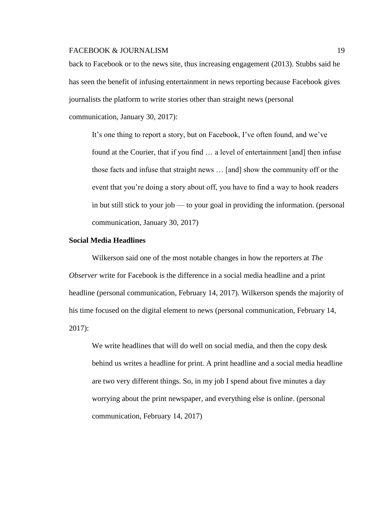back to Facebook or to the news site, thus increasing engagement (2013). Stubbs said he has seen the benefit of infusing entertainment in news reporting because Facebook gives journalists the platform to write stories other than straight news (personal

communication, January 30, 2017):

It's one thing to report a story, but on Facebook, I've often found, and we've found at the Courier, that if you find … a level of entertainment [and] then infuse those facts and infuse that straight news … [and] show the community off or the event that you're doing a story about off, you have to find a way to hook readers in but still stick to your job — to your goal in providing the information. (personal communication, January 30, 2017)

#### **Social Media Headlines**

Wilkerson said one of the most notable changes in how the reporters at *The Observer* write for Facebook is the difference in a social media headline and a print headline (personal communication, February 14, 2017). Wilkerson spends the majority of his time focused on the digital element to news (personal communication, February 14, 2017):

We write headlines that will do well on social media, and then the copy desk behind us writes a headline for print. A print headline and a social media headline are two very different things. So, in my job I spend about five minutes a day worrying about the print newspaper, and everything else is online. (personal communication, February 14, 2017)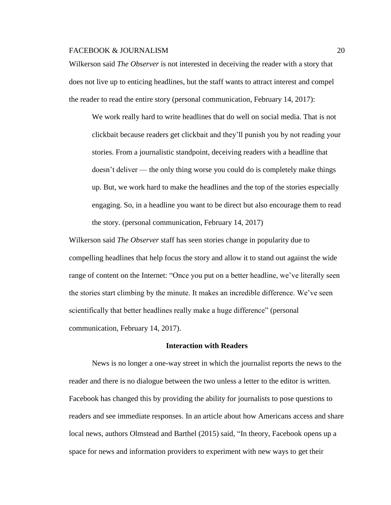Wilkerson said *The Observer* is not interested in deceiving the reader with a story that does not live up to enticing headlines, but the staff wants to attract interest and compel the reader to read the entire story (personal communication, February 14, 2017):

We work really hard to write headlines that do well on social media. That is not clickbait because readers get clickbait and they'll punish you by not reading your stories. From a journalistic standpoint, deceiving readers with a headline that doesn't deliver — the only thing worse you could do is completely make things up. But, we work hard to make the headlines and the top of the stories especially engaging. So, in a headline you want to be direct but also encourage them to read the story. (personal communication, February 14, 2017)

Wilkerson said *The Observer* staff has seen stories change in popularity due to compelling headlines that help focus the story and allow it to stand out against the wide range of content on the Internet: "Once you put on a better headline, we've literally seen the stories start climbing by the minute. It makes an incredible difference. We've seen scientifically that better headlines really make a huge difference" (personal communication, February 14, 2017).

#### **Interaction with Readers**

News is no longer a one-way street in which the journalist reports the news to the reader and there is no dialogue between the two unless a letter to the editor is written. Facebook has changed this by providing the ability for journalists to pose questions to readers and see immediate responses. In an article about how Americans access and share local news, authors Olmstead and Barthel (2015) said, "In theory, Facebook opens up a space for news and information providers to experiment with new ways to get their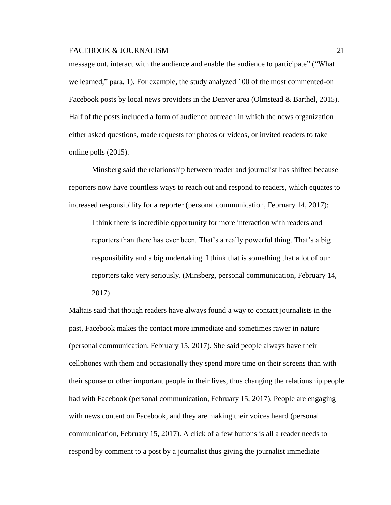message out, interact with the audience and enable the audience to participate" ("What we learned," para. 1). For example, the study analyzed 100 of the most commented-on Facebook posts by local news providers in the Denver area (Olmstead & Barthel, 2015). Half of the posts included a form of audience outreach in which the news organization either asked questions, made requests for photos or videos, or invited readers to take online polls (2015).

Minsberg said the relationship between reader and journalist has shifted because reporters now have countless ways to reach out and respond to readers, which equates to increased responsibility for a reporter (personal communication, February 14, 2017):

I think there is incredible opportunity for more interaction with readers and reporters than there has ever been. That's a really powerful thing. That's a big responsibility and a big undertaking. I think that is something that a lot of our reporters take very seriously. (Minsberg, personal communication, February 14, 2017)

Maltais said that though readers have always found a way to contact journalists in the past, Facebook makes the contact more immediate and sometimes rawer in nature (personal communication, February 15, 2017). She said people always have their cellphones with them and occasionally they spend more time on their screens than with their spouse or other important people in their lives, thus changing the relationship people had with Facebook (personal communication, February 15, 2017). People are engaging with news content on Facebook, and they are making their voices heard (personal communication, February 15, 2017). A click of a few buttons is all a reader needs to respond by comment to a post by a journalist thus giving the journalist immediate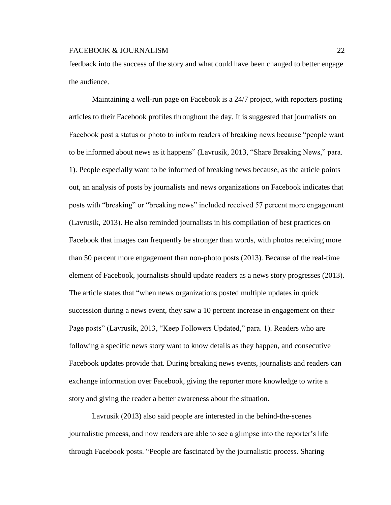feedback into the success of the story and what could have been changed to better engage the audience.

Maintaining a well-run page on Facebook is a 24/7 project, with reporters posting articles to their Facebook profiles throughout the day. It is suggested that journalists on Facebook post a status or photo to inform readers of breaking news because "people want to be informed about news as it happens" (Lavrusik, 2013, "Share Breaking News," para. 1). People especially want to be informed of breaking news because, as the article points out, an analysis of posts by journalists and news organizations on Facebook indicates that posts with "breaking" or "breaking news" included received 57 percent more engagement (Lavrusik, 2013). He also reminded journalists in his compilation of best practices on Facebook that images can frequently be stronger than words, with photos receiving more than 50 percent more engagement than non-photo posts (2013). Because of the real-time element of Facebook, journalists should update readers as a news story progresses (2013). The article states that "when news organizations posted multiple updates in quick succession during a news event, they saw a 10 percent increase in engagement on their Page posts" (Lavrusik, 2013, "Keep Followers Updated," para. 1). Readers who are following a specific news story want to know details as they happen, and consecutive Facebook updates provide that. During breaking news events, journalists and readers can exchange information over Facebook, giving the reporter more knowledge to write a story and giving the reader a better awareness about the situation.

Lavrusik (2013) also said people are interested in the behind-the-scenes journalistic process, and now readers are able to see a glimpse into the reporter's life through Facebook posts. "People are fascinated by the journalistic process. Sharing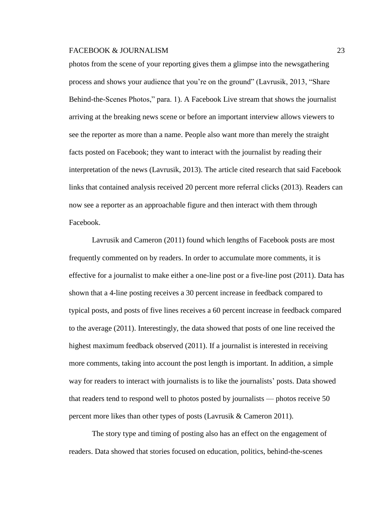photos from the scene of your reporting gives them a glimpse into the newsgathering process and shows your audience that you're on the ground" (Lavrusik, 2013, "Share Behind-the-Scenes Photos," para. 1). A Facebook Live stream that shows the journalist arriving at the breaking news scene or before an important interview allows viewers to see the reporter as more than a name. People also want more than merely the straight facts posted on Facebook; they want to interact with the journalist by reading their interpretation of the news (Lavrusik, 2013). The article cited research that said Facebook links that contained analysis received 20 percent more referral clicks (2013). Readers can now see a reporter as an approachable figure and then interact with them through Facebook.

Lavrusik and Cameron (2011) found which lengths of Facebook posts are most frequently commented on by readers. In order to accumulate more comments, it is effective for a journalist to make either a one-line post or a five-line post (2011). Data has shown that a 4-line posting receives a 30 percent increase in feedback compared to typical posts, and posts of five lines receives a 60 percent increase in feedback compared to the average (2011). Interestingly, the data showed that posts of one line received the highest maximum feedback observed (2011). If a journalist is interested in receiving more comments, taking into account the post length is important. In addition, a simple way for readers to interact with journalists is to like the journalists' posts. Data showed that readers tend to respond well to photos posted by journalists — photos receive 50 percent more likes than other types of posts (Lavrusik & Cameron 2011).

The story type and timing of posting also has an effect on the engagement of readers. Data showed that stories focused on education, politics, behind-the-scenes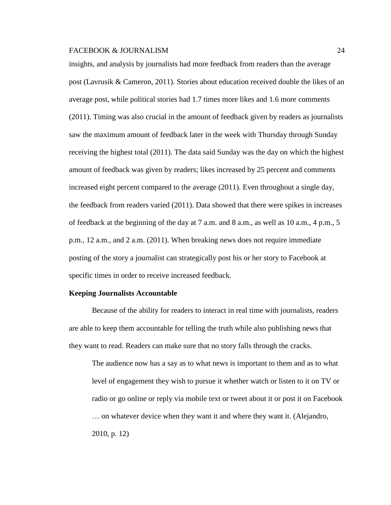insights, and analysis by journalists had more feedback from readers than the average post (Lavrusik & Cameron, 2011). Stories about education received double the likes of an average post, while political stories had 1.7 times more likes and 1.6 more comments (2011). Timing was also crucial in the amount of feedback given by readers as journalists saw the maximum amount of feedback later in the week with Thursday through Sunday receiving the highest total (2011). The data said Sunday was the day on which the highest amount of feedback was given by readers; likes increased by 25 percent and comments increased eight percent compared to the average (2011). Even throughout a single day, the feedback from readers varied (2011). Data showed that there were spikes in increases of feedback at the beginning of the day at 7 a.m. and 8 a.m., as well as 10 a.m., 4 p.m., 5 p.m., 12 a.m., and 2 a.m. (2011). When breaking news does not require immediate posting of the story a journalist can strategically post his or her story to Facebook at specific times in order to receive increased feedback.

### **Keeping Journalists Accountable**

Because of the ability for readers to interact in real time with journalists, readers are able to keep them accountable for telling the truth while also publishing news that they want to read. Readers can make sure that no story falls through the cracks.

The audience now has a say as to what news is important to them and as to what level of engagement they wish to pursue it whether watch or listen to it on TV or radio or go online or reply via mobile text or tweet about it or post it on Facebook … on whatever device when they want it and where they want it. (Alejandro, 2010, p. 12)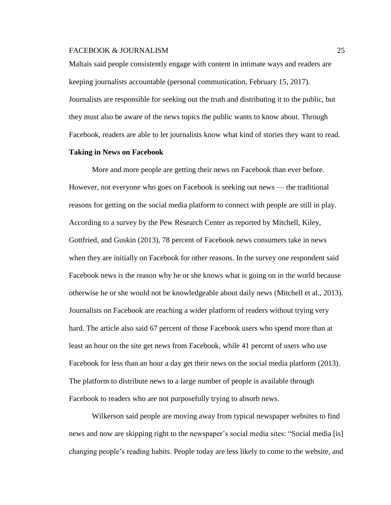Maltais said people consistently engage with content in intimate ways and readers are keeping journalists accountable (personal communication, February 15, 2017). Journalists are responsible for seeking out the truth and distributing it to the public, but they must also be aware of the news topics the public wants to know about. Through Facebook, readers are able to let journalists know what kind of stories they want to read.

### **Taking in News on Facebook**

More and more people are getting their news on Facebook than ever before. However, not everyone who goes on Facebook is seeking out news — the traditional reasons for getting on the social media platform to connect with people are still in play. According to a survey by the Pew Research Center as reported by Mitchell, Kiley, Gottfried, and Guskin (2013), 78 percent of Facebook news consumers take in news when they are initially on Facebook for other reasons. In the survey one respondent said Facebook news is the reason why he or she knows what is going on in the world because otherwise he or she would not be knowledgeable about daily news (Mitchell et al., 2013). Journalists on Facebook are reaching a wider platform of readers without trying very hard. The article also said 67 percent of those Facebook users who spend more than at least an hour on the site get news from Facebook, while 41 percent of users who use Facebook for less than an hour a day get their news on the social media platform (2013). The platform to distribute news to a large number of people is available through Facebook to readers who are not purposefully trying to absorb news.

Wilkerson said people are moving away from typical newspaper websites to find news and now are skipping right to the newspaper's social media sites: "Social media [is] changing people's reading habits. People today are less likely to come to the website, and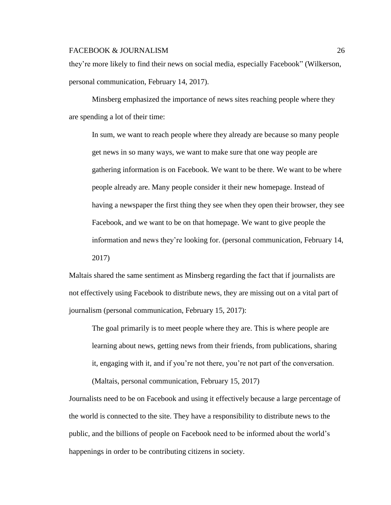they're more likely to find their news on social media, especially Facebook" (Wilkerson, personal communication, February 14, 2017).

Minsberg emphasized the importance of news sites reaching people where they are spending a lot of their time:

In sum, we want to reach people where they already are because so many people get news in so many ways, we want to make sure that one way people are gathering information is on Facebook. We want to be there. We want to be where people already are. Many people consider it their new homepage. Instead of having a newspaper the first thing they see when they open their browser, they see Facebook, and we want to be on that homepage. We want to give people the information and news they're looking for. (personal communication, February 14, 2017)

Maltais shared the same sentiment as Minsberg regarding the fact that if journalists are not effectively using Facebook to distribute news, they are missing out on a vital part of journalism (personal communication, February 15, 2017):

The goal primarily is to meet people where they are. This is where people are learning about news, getting news from their friends, from publications, sharing it, engaging with it, and if you're not there, you're not part of the conversation.

(Maltais, personal communication, February 15, 2017)

Journalists need to be on Facebook and using it effectively because a large percentage of the world is connected to the site. They have a responsibility to distribute news to the public, and the billions of people on Facebook need to be informed about the world's happenings in order to be contributing citizens in society.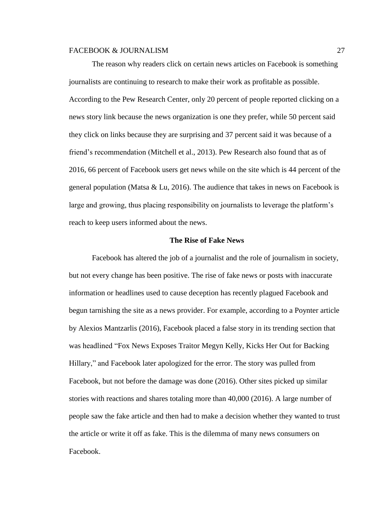The reason why readers click on certain news articles on Facebook is something journalists are continuing to research to make their work as profitable as possible. According to the Pew Research Center, only 20 percent of people reported clicking on a news story link because the news organization is one they prefer, while 50 percent said they click on links because they are surprising and 37 percent said it was because of a friend's recommendation (Mitchell et al., 2013). Pew Research also found that as of 2016, 66 percent of Facebook users get news while on the site which is 44 percent of the general population (Matsa & Lu, 2016). The audience that takes in news on Facebook is large and growing, thus placing responsibility on journalists to leverage the platform's reach to keep users informed about the news.

#### **The Rise of Fake News**

Facebook has altered the job of a journalist and the role of journalism in society, but not every change has been positive. The rise of fake news or posts with inaccurate information or headlines used to cause deception has recently plagued Facebook and begun tarnishing the site as a news provider. For example, according to a Poynter article by Alexios Mantzarlis (2016), Facebook placed a false story in its trending section that was headlined "Fox News Exposes Traitor Megyn Kelly, Kicks Her Out for Backing Hillary," and Facebook later apologized for the error. The story was pulled from Facebook, but not before the damage was done (2016). Other sites picked up similar stories with reactions and shares totaling more than 40,000 (2016). A large number of people saw the fake article and then had to make a decision whether they wanted to trust the article or write it off as fake. This is the dilemma of many news consumers on Facebook.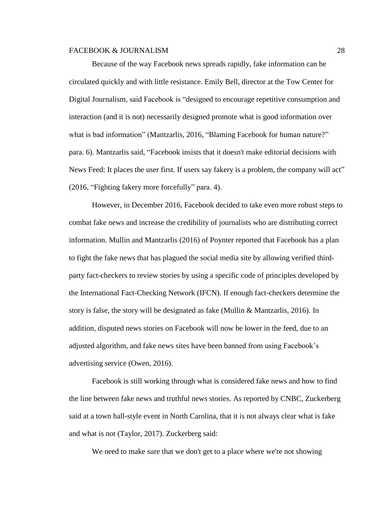Because of the way Facebook news spreads rapidly, fake information can be circulated quickly and with little resistance. [Emily Bell,](http://towcenter.org/academics/emily-bell/) director at the Tow Center for Digital Journalism, said Facebook is "designed to encourage repetitive consumption and interaction (and it is not) necessarily designed promote what is good information over what is bad information" (Mantzarlis, 2016, "Blaming Facebook for human nature?" para. 6). Mantzarlis said, ["Facebook](http://www.poynter.org/2016/can-fact-checkers-break-into-facebooks-echo-chambers/408610/) insists that it doesn't make editorial decisions with News Feed: It places the user first. If users say fakery is a problem, the company will act" (2016, "Fighting fakery more forcefully" para. 4).

However, in December 2016, Facebook decided to take even more robust steps to combat fake news and increase the credibility of journalists who are distributing correct information. Mullin and Mantzarlis (2016) of Poynter reported that Facebook has a plan to fight the fake news that has plagued the social media site by allowing verified thirdparty fact-checkers to review stories by using a specific [code of principles](http://www.poynter.org/fact-checkers-code-of-principles/) developed by the International Fact-Checking Network (IFCN). If enough fact-checkers determine the story is false, the story will be designated as fake (Mullin & Mantzarlis, 2016). In addition, disputed news stories on Facebook will now be lower in the feed, due to an adjusted algorithm, and fake news sites have been banned from using Facebook's advertising service (Owen, 2016).

Facebook is still working through what is considered fake news and how to find the line between fake news and truthful news stories. As reported by CNBC, Zuckerberg said at a town hall-style event in North Carolina, that it is not always clear what is fake and what is not (Taylor, 2017). Zuckerberg said:

We need to make sure that we don't get to a place where we're not showing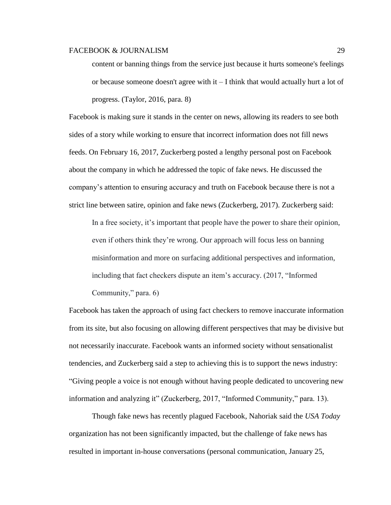content or banning things from the service just because it hurts someone's feelings or because someone doesn't agree with it – I think that would actually hurt a lot of progress. (Taylor, 2016, para. 8)

Facebook is making sure it stands in the center on news, allowing its readers to see both sides of a story while working to ensure that incorrect information does not fill news feeds. On February 16, 2017, Zuckerberg posted a lengthy personal post on Facebook about the company in which he addressed the topic of fake news. He discussed the company's attention to ensuring accuracy and truth on Facebook because there is not a strict line between satire, opinion and fake news (Zuckerberg, 2017). Zuckerberg said:

In a free society, it's important that people have the power to share their opinion, even if others think they're wrong. Our approach will focus less on banning misinformation and more on surfacing additional perspectives and information, including that fact checkers dispute an item's accuracy. (2017, "Informed Community," para. 6)

Facebook has taken the approach of using fact checkers to remove inaccurate information from its site, but also focusing on allowing different perspectives that may be divisive but not necessarily inaccurate. Facebook wants an informed society without sensationalist tendencies, and Zuckerberg said a step to achieving this is to support the news industry: "Giving people a voice is not enough without having people dedicated to uncovering new information and analyzing it" (Zuckerberg, 2017, "Informed Community," para. 13).

Though fake news has recently plagued Facebook, Nahoriak said the *USA Today* organization has not been significantly impacted, but the challenge of fake news has resulted in important in-house conversations (personal communication, January 25,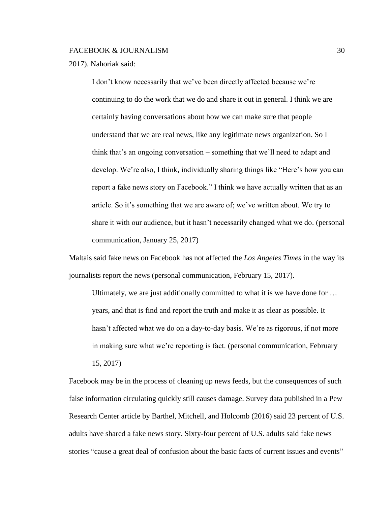2017). Nahoriak said:

I don't know necessarily that we've been directly affected because we're continuing to do the work that we do and share it out in general. I think we are certainly having conversations about how we can make sure that people understand that we are real news, like any legitimate news organization. So I think that's an ongoing conversation – something that we'll need to adapt and develop. We're also, I think, individually sharing things like "Here's how you can report a fake news story on Facebook." I think we have actually written that as an article. So it's something that we are aware of; we've written about. We try to share it with our audience, but it hasn't necessarily changed what we do. (personal communication, January 25, 2017)

Maltais said fake news on Facebook has not affected the *Los Angeles Times* in the way its journalists report the news (personal communication, February 15, 2017).

Ultimately, we are just additionally committed to what it is we have done for … years, and that is find and report the truth and make it as clear as possible. It hasn't affected what we do on a day-to-day basis. We're as rigorous, if not more in making sure what we're reporting is fact. (personal communication, February 15, 2017)

Facebook may be in the process of cleaning up news feeds, but the consequences of such false information circulating quickly still causes damage. Survey data published in a Pew Research Center article by Barthel, Mitchell, and Holcomb (2016) said 23 percent of U.S. adults have shared a fake news story. Sixty-four percent of U.S. adults said fake news stories "cause a great deal of confusion about the basic facts of current issues and events"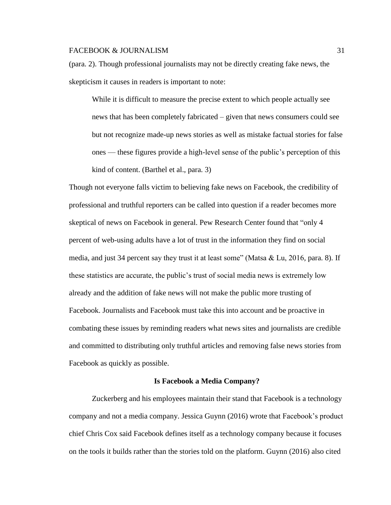(para. 2). Though professional journalists may not be directly creating fake news, the skepticism it causes in readers is important to note:

While it is difficult to measure the precise extent to which people actually see news that has been completely fabricated – given that news consumers could see but not recognize made-up news stories as well as mistake factual stories for false ones — these figures provide a high-level sense of the public's perception of this kind of content. (Barthel et al., para. 3)

Though not everyone falls victim to believing fake news on Facebook, the credibility of professional and truthful reporters can be called into question if a reader becomes more skeptical of news on Facebook in general. Pew Research Center found that "only 4 percent of web-using adults have a lot of trust in the information they find on social media, and just 34 percent say they trust it at least some" (Matsa & Lu, 2016, para. 8). If these statistics are accurate, the public's trust of social media news is extremely low already and the addition of fake news will not make the public more trusting of Facebook. Journalists and Facebook must take this into account and be proactive in combating these issues by reminding readers what news sites and journalists are credible and committed to distributing only truthful articles and removing false news stories from Facebook as quickly as possible.

#### **Is Facebook a Media Company?**

Zuckerberg and his employees maintain their stand that Facebook is a technology company and not a media company. Jessica Guynn (2016) wrote that Facebook's product chief Chris Cox said Facebook defines itself as a technology company because it focuses on the tools it builds rather than the stories told on the platform. Guynn (2016) also cited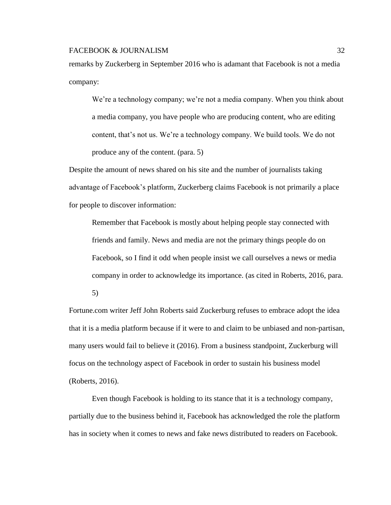remarks by Zuckerberg in September 2016 who is adamant that Facebook is not a media company:

We're a technology company; we're not a media company. When you think about a media company, you have people who are producing content, who are editing content, that's not us. We're a technology company. We build tools. We do not produce any of the content. (para. 5)

Despite the amount of news shared on his site and the number of journalists taking advantage of Facebook's platform, Zuckerberg claims Facebook is not primarily a place for people to discover information:

Remember that Facebook is mostly about helping people stay connected with friends and family. News and media are not the primary things people do on Facebook, so I find it odd when people insist we call ourselves a news or media company in order to acknowledge its importance. (as cited in Roberts, 2016, para.

5)

Fortune.com writer Jeff John Roberts said Zuckerburg refuses to embrace adopt the idea that it is a media platform because if it were to and claim to be unbiased and non-partisan, many users would fail to believe it (2016). From a business standpoint, Zuckerburg will focus on the technology aspect of Facebook in order to sustain his business model (Roberts, 2016).

Even though Facebook is holding to its stance that it is a technology company, partially due to the business behind it, Facebook has acknowledged the role the platform has in society when it comes to news and fake news distributed to readers on Facebook.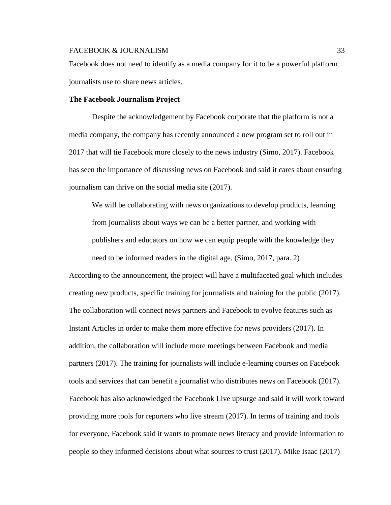Facebook does not need to identify as a media company for it to be a powerful platform journalists use to share news articles.

#### **The Facebook Journalism Project**

Despite the acknowledgement by Facebook corporate that the platform is not a media company, the company has recently announced a new program set to roll out in 2017 that will tie Facebook more closely to the news industry (Simo, 2017). Facebook has seen the importance of discussing news on Facebook and said it cares about ensuring journalism can thrive on the social media site (2017).

We will be collaborating with news organizations to develop products, learning from journalists about ways we can be a better partner, and working with publishers and educators on how we can equip people with the knowledge they need to be informed readers in the digital age. (Simo, 2017, para. 2)

According to the announcement, the project will have a multifaceted goal which includes creating new products, specific training for journalists and training for the public (2017). The collaboration will connect news partners and Facebook to evolve features such as Instant Articles in order to make them more effective for news providers (2017). In addition, the collaboration will include more meetings between Facebook and media partners (2017). The training for journalists will include e-learning courses on Facebook tools and services that can benefit a journalist who distributes news on Facebook (2017). Facebook has also acknowledged the Facebook Live upsurge and said it will work toward providing more tools for reporters who live stream (2017). In terms of training and tools for everyone, Facebook said it wants to promote news literacy and provide information to people so they informed decisions about what sources to trust (2017). Mike Isaac (2017)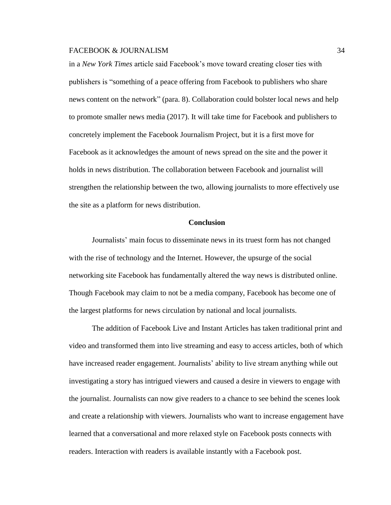in a *New York Times* article said Facebook's move toward creating closer ties with publishers is "something of a peace offering from Facebook to publishers who share news content on the network" (para. 8). Collaboration could bolster local news and help to promote smaller news media (2017). It will take time for Facebook and publishers to concretely implement the Facebook Journalism Project, but it is a first move for Facebook as it acknowledges the amount of news spread on the site and the power it holds in news distribution. The collaboration between Facebook and journalist will strengthen the relationship between the two, allowing journalists to more effectively use the site as a platform for news distribution.

#### **Conclusion**

Journalists' main focus to disseminate news in its truest form has not changed with the rise of technology and the Internet. However, the upsurge of the social networking site Facebook has fundamentally altered the way news is distributed online. Though Facebook may claim to not be a media company, Facebook has become one of the largest platforms for news circulation by national and local journalists.

The addition of Facebook Live and Instant Articles has taken traditional print and video and transformed them into live streaming and easy to access articles, both of which have increased reader engagement. Journalists' ability to live stream anything while out investigating a story has intrigued viewers and caused a desire in viewers to engage with the journalist. Journalists can now give readers to a chance to see behind the scenes look and create a relationship with viewers. Journalists who want to increase engagement have learned that a conversational and more relaxed style on Facebook posts connects with readers. Interaction with readers is available instantly with a Facebook post.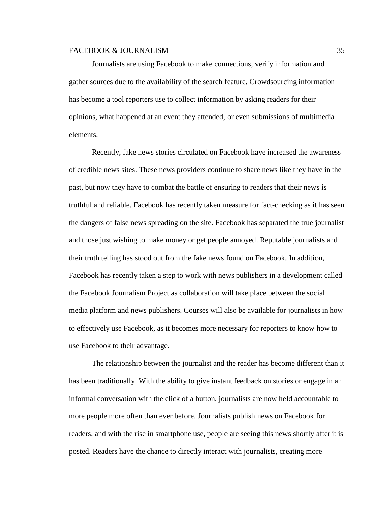Journalists are using Facebook to make connections, verify information and gather sources due to the availability of the search feature. Crowdsourcing information has become a tool reporters use to collect information by asking readers for their opinions, what happened at an event they attended, or even submissions of multimedia elements.

Recently, fake news stories circulated on Facebook have increased the awareness of credible news sites. These news providers continue to share news like they have in the past, but now they have to combat the battle of ensuring to readers that their news is truthful and reliable. Facebook has recently taken measure for fact-checking as it has seen the dangers of false news spreading on the site. Facebook has separated the true journalist and those just wishing to make money or get people annoyed. Reputable journalists and their truth telling has stood out from the fake news found on Facebook. In addition, Facebook has recently taken a step to work with news publishers in a development called the Facebook Journalism Project as collaboration will take place between the social media platform and news publishers. Courses will also be available for journalists in how to effectively use Facebook, as it becomes more necessary for reporters to know how to use Facebook to their advantage.

The relationship between the journalist and the reader has become different than it has been traditionally. With the ability to give instant feedback on stories or engage in an informal conversation with the click of a button, journalists are now held accountable to more people more often than ever before. Journalists publish news on Facebook for readers, and with the rise in smartphone use, people are seeing this news shortly after it is posted. Readers have the chance to directly interact with journalists, creating more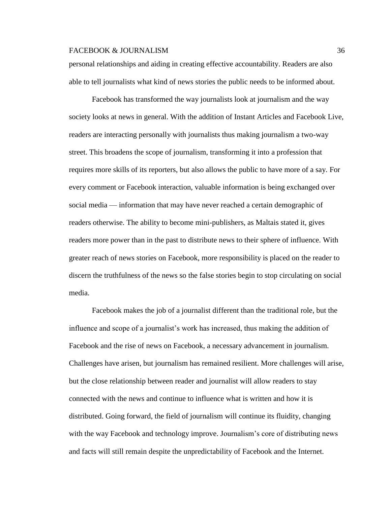personal relationships and aiding in creating effective accountability. Readers are also able to tell journalists what kind of news stories the public needs to be informed about.

Facebook has transformed the way journalists look at journalism and the way society looks at news in general. With the addition of Instant Articles and Facebook Live, readers are interacting personally with journalists thus making journalism a two-way street. This broadens the scope of journalism, transforming it into a profession that requires more skills of its reporters, but also allows the public to have more of a say. For every comment or Facebook interaction, valuable information is being exchanged over social media — information that may have never reached a certain demographic of readers otherwise. The ability to become mini-publishers, as Maltais stated it, gives readers more power than in the past to distribute news to their sphere of influence. With greater reach of news stories on Facebook, more responsibility is placed on the reader to discern the truthfulness of the news so the false stories begin to stop circulating on social media.

Facebook makes the job of a journalist different than the traditional role, but the influence and scope of a journalist's work has increased, thus making the addition of Facebook and the rise of news on Facebook, a necessary advancement in journalism. Challenges have arisen, but journalism has remained resilient. More challenges will arise, but the close relationship between reader and journalist will allow readers to stay connected with the news and continue to influence what is written and how it is distributed. Going forward, the field of journalism will continue its fluidity, changing with the way Facebook and technology improve. Journalism's core of distributing news and facts will still remain despite the unpredictability of Facebook and the Internet.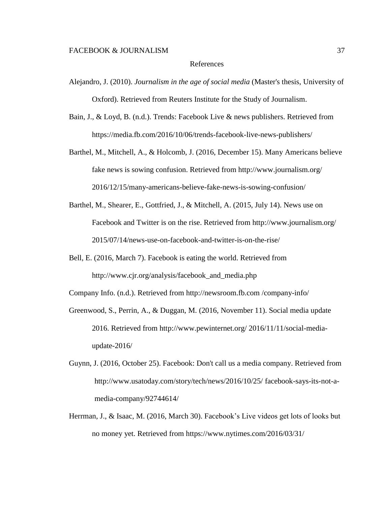#### References

- Alejandro, J. (2010). *Journalism in the age of social media* (Master's thesis, University of Oxford). Retrieved from Reuters Institute for the Study of Journalism.
- Bain, J., & Loyd, B. (n.d.). Trends: Facebook Live & news publishers. Retrieved from <https://media.fb.com/2016/10/06/trends-facebook-live-news-publishers/>
- Barthel, M., Mitchell, A., & Holcomb, J. (2016, December 15). Many Americans believe fake news is sowing confusion. Retrieved from http://www.journalism.org/ 2016/12/15/many-americans-believe-fake-news-is-sowing-confusion/
- Barthel, M., Shearer, E., Gottfried, J., & Mitchell, A. (2015, July 14). News use on Facebook and Twitter is on the rise. Retrieved from [http://www.journalism.org/](http://www.journalism.org/2015/07/14/news-use-on-facebook-and-twitter-is-on-the-rise/) [2015/07/14/news-use-on-facebook-and-twitter-is-on-the-rise/](http://www.journalism.org/2015/07/14/news-use-on-facebook-and-twitter-is-on-the-rise/)
- Bell, E. (2016, March 7). Facebook is eating the world. Retrieved from [http://www.cjr.org/analysis/facebook\\_and\\_media.php](http://www.cjr.org/analysis/facebook_and_media.php)

Company Info. (n.d.). Retrieved from [http://newsroom.fb.com](http://newsroom.fb.com/company-info/) /company-info/

- Greenwood, S., Perrin, A., & Duggan, M. (2016, November 11). Social media update 2016. Retrieved from [http://www.pewinternet.org/ 2016/11/11/social-media](http://www.pewinternet.org/%202016/11/11/social-media-update-2016/)[update-2016/](http://www.pewinternet.org/%202016/11/11/social-media-update-2016/)
- Guynn, J. (2016, October 25). Facebook: Don't call us a media company. Retrieved from <http://www.usatoday.com/story/tech/news/2016/10/25/> facebook-says-its-not-amedia-company/92744614/
- Herrman, J., & Isaac, M. (2016, March 30). Facebook's Live videos get lots of looks but no money yet. Retrieved from [https://www.nytimes.com/2016/03/31/](https://www.nytimes.com/2016/03/31/business/media/facebooks-live-video-effort-entices-media%20companies.html?smid=tw-nytmedia&smtyp=cur&_r=0)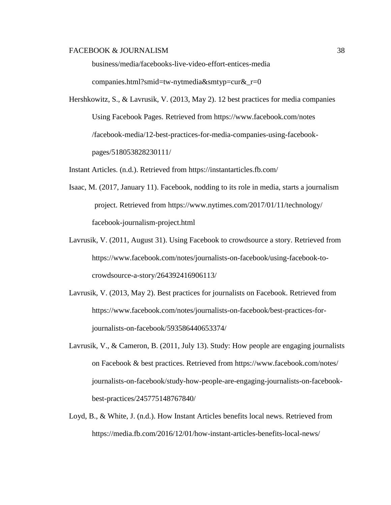[business/media/facebooks-live-video-effort-entices-media](https://www.nytimes.com/2016/03/31/business/media/facebooks-live-video-effort-entices-media%20companies.html?smid=tw-nytmedia&smtyp=cur&_r=0) 

[companies.html?smid=tw-nytmedia&smtyp=cur&\\_r=0](https://www.nytimes.com/2016/03/31/business/media/facebooks-live-video-effort-entices-media%20companies.html?smid=tw-nytmedia&smtyp=cur&_r=0)

Hershkowitz, S., & Lavrusik, V. (2013, May 2). 12 best practices for media companies Using Facebook Pages. Retrieved from<https://www.facebook.com/notes> /facebook-media/12-best-practices-for-media-companies-using-facebookpages/518053828230111/

Instant Articles. (n.d.). Retrieved from<https://instantarticles.fb.com/>

- Isaac, M. (2017, January 11). Facebook, nodding to its role in media, starts a journalism project. Retrieved from<https://www.nytimes.com/2017/01/11/technology/> facebook-journalism-project.html
- Lavrusik, V. (2011, August 31). Using Facebook to crowdsource a story. Retrieved from [https://www.facebook.com/notes/journalists-on-facebook/using-facebook-to](https://www.facebook.com/notes/journalists-on-facebook/using-facebook-to-crowdsource-a-story/264392416906113/)[crowdsource-a-story/264392416906113/](https://www.facebook.com/notes/journalists-on-facebook/using-facebook-to-crowdsource-a-story/264392416906113/)
- Lavrusik, V. (2013, May 2). Best practices for journalists on Facebook. Retrieved from https://www.facebook.com/notes/journalists-on-facebook/best-practices-forjournalists-on-facebook/593586440653374/
- Lavrusik, V., & Cameron, B. (2011, July 13). Study: How people are engaging journalists on Facebook & best practices. Retrieved from [https://www.facebook.com/notes/](https://www.facebook.com/notes/journalists-on-facebook/study-how-people-are-engaging-journalists-on-facebook-best-practices/245775148767840/) [journalists-on-facebook/study-how-people-are-engaging-journalists-on-facebook](https://www.facebook.com/notes/journalists-on-facebook/study-how-people-are-engaging-journalists-on-facebook-best-practices/245775148767840/)[best-practices/245775148767840/](https://www.facebook.com/notes/journalists-on-facebook/study-how-people-are-engaging-journalists-on-facebook-best-practices/245775148767840/)
- Loyd, B., & White, J. (n.d.). How Instant Articles benefits local news. Retrieved from <https://media.fb.com/2016/12/01/how-instant-articles-benefits-local-news/>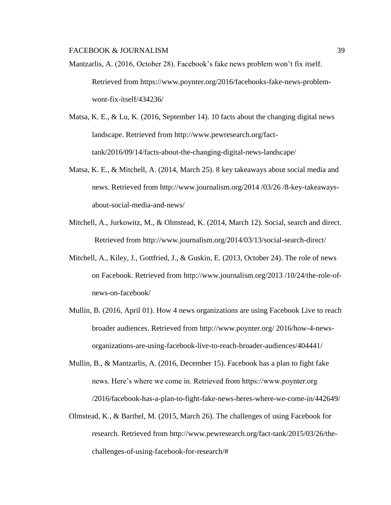- Mantzarlis, A. (2016, October 28). Facebook's fake news problem won't fix itself. Retrieved from https://www.poynter.org/2016/facebooks-fake-news-problemwont-fix-itself/434236/
- Matsa, K. E., & Lu, K. (2016, September 14). 10 facts about the changing digital news landscape. Retrieved from http://www.pewresearch.org/facttank/2016/09/14/facts-about-the-changing-digital-news-landscape/
- Matsa, K. E., & Mitchell, A. (2014, March 25). 8 key takeaways about social media and news. Retrieved from [http://www.journalism.org/2014 /03/26 /8-key-takeaways](http://www.journalism.org/2014%20/03/26%20/8-key-takeaways-about-social-media-and-news/)[about-social-media-and-news/](http://www.journalism.org/2014%20/03/26%20/8-key-takeaways-about-social-media-and-news/)
- Mitchell, A., Jurkowitz, M., & Olmstead, K. (2014, March 12). Social, search and direct. Retrieved from http://www.journalism.org/2014/03/13/social-search-direct/
- Mitchell, A., Kiley, J., Gottfried, J., & Guskin, E. (2013, October 24). The role of news on Facebook. Retrieved from [http://www.journalism.org/2013 /10/24/the-role-of](http://www.journalism.org/2013%20/10/24/the-role-of-news-on-facebook/)[news-on-facebook/](http://www.journalism.org/2013%20/10/24/the-role-of-news-on-facebook/)
- Mullin, B. (2016, April 01). How 4 news organizations are using Facebook Live to reach broader audiences. Retrieved from [http://www.poynter.org/ 2016/how-4-news](http://www.poynter.org/%202016/how-4-news-organizations-are-using-facebook-live-to-reach-broader-audiences/404441/)[organizations-are-using-facebook-live-to-reach-broader-audiences/404441/](http://www.poynter.org/%202016/how-4-news-organizations-are-using-facebook-live-to-reach-broader-audiences/404441/)
- Mullin, B., & Mantzarlis, A. (2016, December 15). Facebook has a plan to fight fake news. Here's where we come in. Retrieved from https://www.poynter.org /2016/facebook-has-a-plan-to-fight-fake-news-heres-where-we-come-in/442649/
- Olmstead, K., & Barthel, M. (2015, March 26). The challenges of using Facebook for research. Retrieved from http://www.pewresearch.org/fact-tank/2015/03/26/thechallenges-of-using-facebook-for-research/#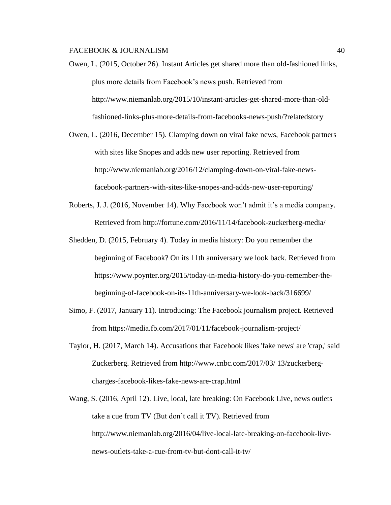- Owen, L. (2015, October 26). Instant Articles get shared more than old-fashioned links, plus more details from Facebook's news push. Retrieved from [http://www.niemanlab.org/2015/10/instant-articles-get-shared-more-than-old](http://www.niemanlab.org/2015/10/instant-articles-get-shared-more-than-old-fashioned-links-plus-more-details-from-facebooks-news-push/?relatedstory)[fashioned-links-plus-more-details-from-facebooks-news-push/?relatedstory](http://www.niemanlab.org/2015/10/instant-articles-get-shared-more-than-old-fashioned-links-plus-more-details-from-facebooks-news-push/?relatedstory)
- Owen, L. (2016, December 15). Clamping down on viral fake news, Facebook partners with sites like Snopes and adds new user reporting. Retrieved from http://www.niemanlab.org/2016/12/clamping-down-on-viral-fake-newsfacebook-partners-with-sites-like-snopes-and-adds-new-user-reporting/
- Roberts, J. J. (2016, November 14). Why Facebook won't admit it's a media company. Retrieved from http://fortune.com/2016/11/14/facebook-zuckerberg-media/
- Shedden, D. (2015, February 4). Today in media history: Do you remember the beginning of Facebook? On its 11th anniversary we look back. Retrieved from https://www.poynter.org/2015/today-in-media-history-do-you-remember-thebeginning-of-facebook-on-its-11th-anniversary-we-look-back/316699/
- Simo, F. (2017, January 11). Introducing: The Facebook journalism project. Retrieved from https://media.fb.com/2017/01/11/facebook-journalism-project/
- Taylor, H. (2017, March 14). Accusations that Facebook likes 'fake news' are 'crap,' said Zuckerberg. Retrieved from<http://www.cnbc.com/2017/03/> 13/zuckerbergcharges-facebook-likes-fake-news-are-crap.html
- Wang, S. (2016, April 12). Live, local, late breaking: On Facebook Live, news outlets take a cue from TV (But don't call it TV). Retrieved from [http://www.niemanlab.org/2016/04/live-local-late-breaking-on-facebook-live](http://www.niemanlab.org/2016/04/live-local-late-breaking-on-facebook-live-news-outlets-take-a-cue-from-tv-but-dont-call-it-tv/)[news-outlets-take-a-cue-from-tv-but-dont-call-it-tv/](http://www.niemanlab.org/2016/04/live-local-late-breaking-on-facebook-live-news-outlets-take-a-cue-from-tv-but-dont-call-it-tv/)